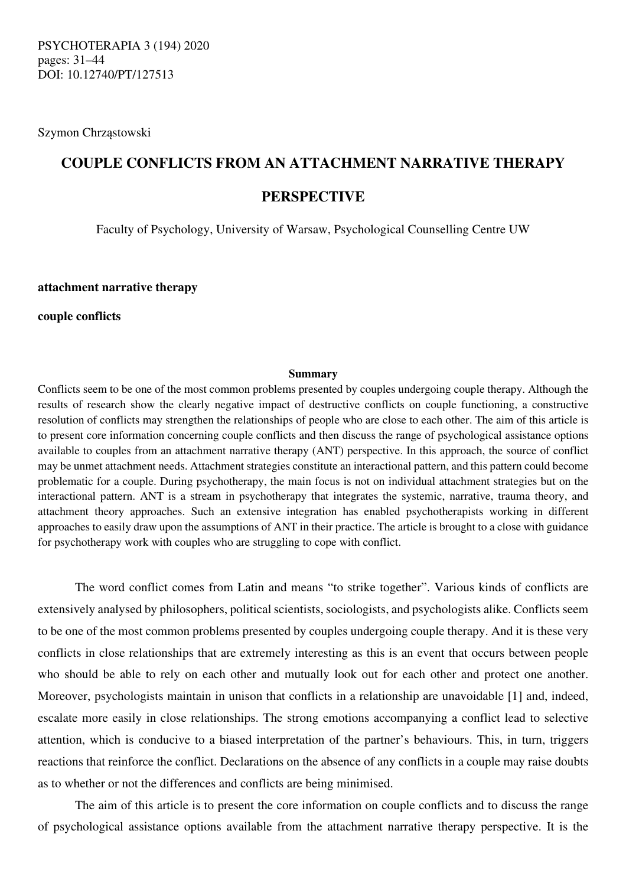Szymon Chrząstowski

# **COUPLE CONFLICTS FROM AN ATTACHMENT NARRATIVE THERAPY PERSPECTIVE**

Faculty of Psychology, University of Warsaw, Psychological Counselling Centre UW

**attachment narrative therapy** 

**couple conflicts** 

### **Summary**

Conflicts seem to be one of the most common problems presented by couples undergoing couple therapy. Although the results of research show the clearly negative impact of destructive conflicts on couple functioning, a constructive resolution of conflicts may strengthen the relationships of people who are close to each other. The aim of this article is to present core information concerning couple conflicts and then discuss the range of psychological assistance options available to couples from an attachment narrative therapy (ANT) perspective. In this approach, the source of conflict may be unmet attachment needs. Attachment strategies constitute an interactional pattern, and this pattern could become problematic for a couple. During psychotherapy, the main focus is not on individual attachment strategies but on the interactional pattern. ANT is a stream in psychotherapy that integrates the systemic, narrative, trauma theory, and attachment theory approaches. Such an extensive integration has enabled psychotherapists working in different approaches to easily draw upon the assumptions of ANT in their practice. The article is brought to a close with guidance for psychotherapy work with couples who are struggling to cope with conflict.

The word conflict comes from Latin and means "to strike together". Various kinds of conflicts are extensively analysed by philosophers, political scientists, sociologists, and psychologists alike. Conflicts seem to be one of the most common problems presented by couples undergoing couple therapy. And it is these very conflicts in close relationships that are extremely interesting as this is an event that occurs between people who should be able to rely on each other and mutually look out for each other and protect one another. Moreover, psychologists maintain in unison that conflicts in a relationship are unavoidable [1] and, indeed, escalate more easily in close relationships. The strong emotions accompanying a conflict lead to selective attention, which is conducive to a biased interpretation of the partner's behaviours. This, in turn, triggers reactions that reinforce the conflict. Declarations on the absence of any conflicts in a couple may raise doubts as to whether or not the differences and conflicts are being minimised.

The aim of this article is to present the core information on couple conflicts and to discuss the range of psychological assistance options available from the attachment narrative therapy perspective. It is the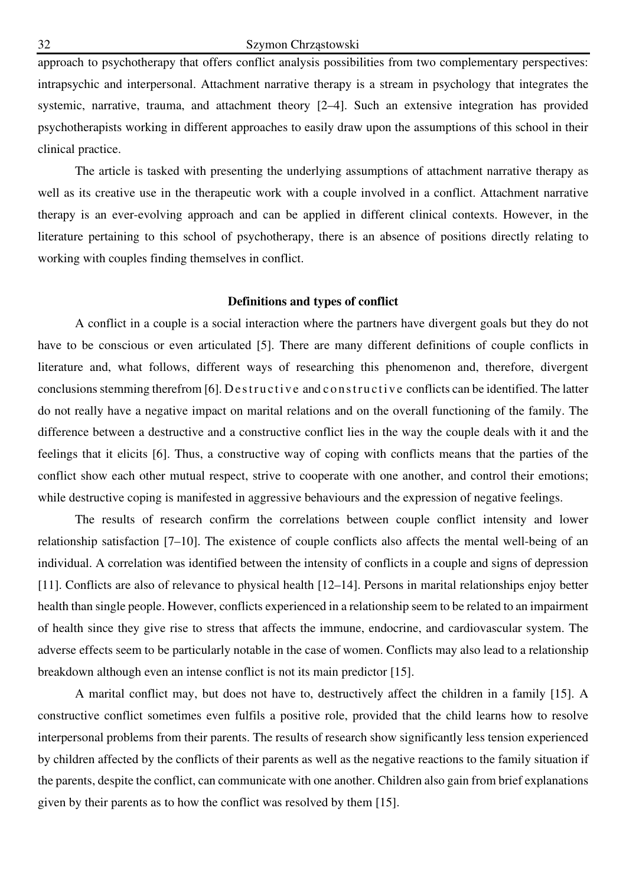approach to psychotherapy that offers conflict analysis possibilities from two complementary perspectives: intrapsychic and interpersonal. Attachment narrative therapy is a stream in psychology that integrates the systemic, narrative, trauma, and attachment theory [2–4]. Such an extensive integration has provided psychotherapists working in different approaches to easily draw upon the assumptions of this school in their clinical practice.

The article is tasked with presenting the underlying assumptions of attachment narrative therapy as well as its creative use in the therapeutic work with a couple involved in a conflict. Attachment narrative therapy is an ever-evolving approach and can be applied in different clinical contexts. However, in the literature pertaining to this school of psychotherapy, there is an absence of positions directly relating to working with couples finding themselves in conflict.

## **Definitions and types of conflict**

A conflict in a couple is a social interaction where the partners have divergent goals but they do not have to be conscious or even articulated [5]. There are many different definitions of couple conflicts in literature and, what follows, different ways of researching this phenomenon and, therefore, divergent conclusions stemming therefrom [6]. Destructive and constructive conflicts can be identified. The latter do not really have a negative impact on marital relations and on the overall functioning of the family. The difference between a destructive and a constructive conflict lies in the way the couple deals with it and the feelings that it elicits [6]. Thus, a constructive way of coping with conflicts means that the parties of the conflict show each other mutual respect, strive to cooperate with one another, and control their emotions; while destructive coping is manifested in aggressive behaviours and the expression of negative feelings.

The results of research confirm the correlations between couple conflict intensity and lower relationship satisfaction [7–10]. The existence of couple conflicts also affects the mental well-being of an individual. A correlation was identified between the intensity of conflicts in a couple and signs of depression [11]. Conflicts are also of relevance to physical health [12–14]. Persons in marital relationships enjoy better health than single people. However, conflicts experienced in a relationship seem to be related to an impairment of health since they give rise to stress that affects the immune, endocrine, and cardiovascular system. The adverse effects seem to be particularly notable in the case of women. Conflicts may also lead to a relationship breakdown although even an intense conflict is not its main predictor [15].

A marital conflict may, but does not have to, destructively affect the children in a family [15]. A constructive conflict sometimes even fulfils a positive role, provided that the child learns how to resolve interpersonal problems from their parents. The results of research show significantly less tension experienced by children affected by the conflicts of their parents as well as the negative reactions to the family situation if the parents, despite the conflict, can communicate with one another. Children also gain from brief explanations given by their parents as to how the conflict was resolved by them [15].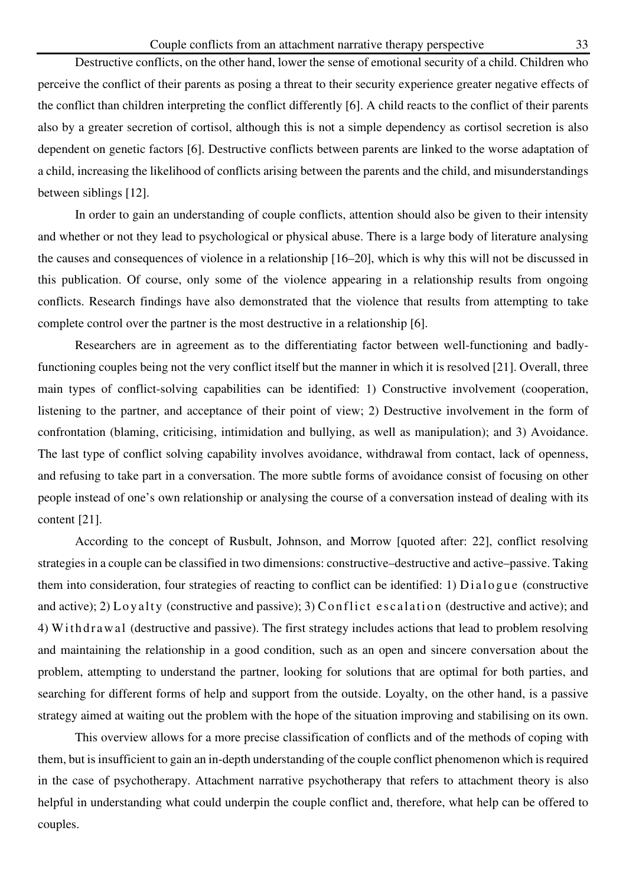Destructive conflicts, on the other hand, lower the sense of emotional security of a child. Children who perceive the conflict of their parents as posing a threat to their security experience greater negative effects of the conflict than children interpreting the conflict differently [6]. A child reacts to the conflict of their parents also by a greater secretion of cortisol, although this is not a simple dependency as cortisol secretion is also dependent on genetic factors [6]. Destructive conflicts between parents are linked to the worse adaptation of a child, increasing the likelihood of conflicts arising between the parents and the child, and misunderstandings between siblings [12].

In order to gain an understanding of couple conflicts, attention should also be given to their intensity and whether or not they lead to psychological or physical abuse. There is a large body of literature analysing the causes and consequences of violence in a relationship [16–20], which is why this will not be discussed in this publication. Of course, only some of the violence appearing in a relationship results from ongoing conflicts. Research findings have also demonstrated that the violence that results from attempting to take complete control over the partner is the most destructive in a relationship [6].

Researchers are in agreement as to the differentiating factor between well-functioning and badlyfunctioning couples being not the very conflict itself but the manner in which it is resolved [21]. Overall, three main types of conflict-solving capabilities can be identified: 1) Constructive involvement (cooperation, listening to the partner, and acceptance of their point of view; 2) Destructive involvement in the form of confrontation (blaming, criticising, intimidation and bullying, as well as manipulation); and 3) Avoidance. The last type of conflict solving capability involves avoidance, withdrawal from contact, lack of openness, and refusing to take part in a conversation. The more subtle forms of avoidance consist of focusing on other people instead of one's own relationship or analysing the course of a conversation instead of dealing with its content [21].

According to the concept of Rusbult, Johnson, and Morrow [quoted after: 22], conflict resolving strategies in a couple can be classified in two dimensions: constructive–destructive and active–passive. Taking them into consideration, four strategies of reacting to conflict can be identified: 1)  $Dialogue$  (constructive and active); 2) L o y a lty (constructive and passive); 3) C on flict escalation (destructive and active); and 4) W i th dr a w al (destructive and passive). The first strategy includes actions that lead to problem resolving and maintaining the relationship in a good condition, such as an open and sincere conversation about the problem, attempting to understand the partner, looking for solutions that are optimal for both parties, and searching for different forms of help and support from the outside. Loyalty, on the other hand, is a passive strategy aimed at waiting out the problem with the hope of the situation improving and stabilising on its own.

This overview allows for a more precise classification of conflicts and of the methods of coping with them, but is insufficient to gain an in-depth understanding of the couple conflict phenomenon which is required in the case of psychotherapy. Attachment narrative psychotherapy that refers to attachment theory is also helpful in understanding what could underpin the couple conflict and, therefore, what help can be offered to couples.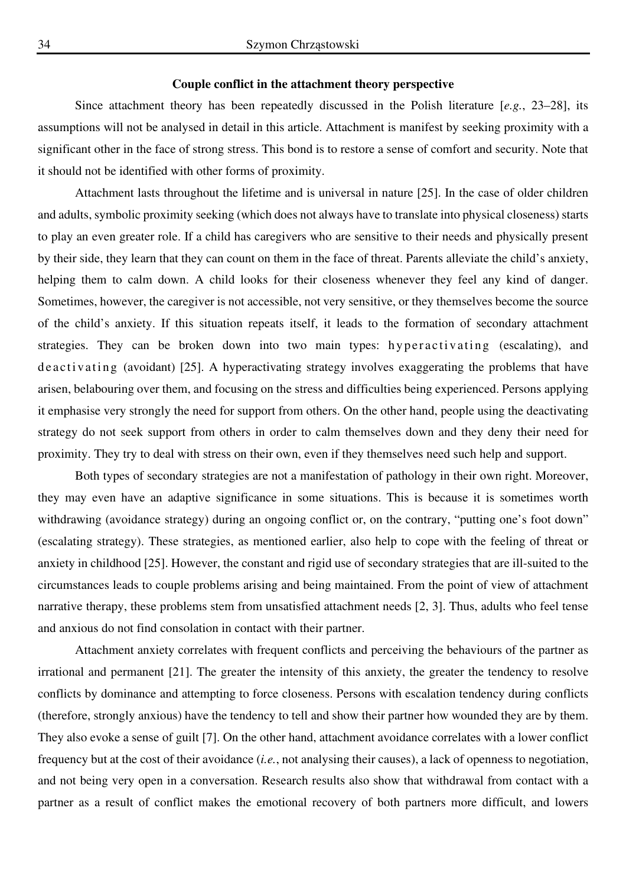## **Couple conflict in the attachment theory perspective**

Since attachment theory has been repeatedly discussed in the Polish literature [*e.g.*, 23–28], its assumptions will not be analysed in detail in this article. Attachment is manifest by seeking proximity with a significant other in the face of strong stress. This bond is to restore a sense of comfort and security. Note that it should not be identified with other forms of proximity.

Attachment lasts throughout the lifetime and is universal in nature [25]. In the case of older children and adults, symbolic proximity seeking (which does not always have to translate into physical closeness) starts to play an even greater role. If a child has caregivers who are sensitive to their needs and physically present by their side, they learn that they can count on them in the face of threat. Parents alleviate the child's anxiety, helping them to calm down. A child looks for their closeness whenever they feel any kind of danger. Sometimes, however, the caregiver is not accessible, not very sensitive, or they themselves become the source of the child's anxiety. If this situation repeats itself, it leads to the formation of secondary attachment strategies. They can be broken down into two main types: hyperactivating (escalating), and de a ctivating (avoidant) [25]. A hyperactivating strategy involves exaggerating the problems that have arisen, belabouring over them, and focusing on the stress and difficulties being experienced. Persons applying it emphasise very strongly the need for support from others. On the other hand, people using the deactivating strategy do not seek support from others in order to calm themselves down and they deny their need for proximity. They try to deal with stress on their own, even if they themselves need such help and support.

Both types of secondary strategies are not a manifestation of pathology in their own right. Moreover, they may even have an adaptive significance in some situations. This is because it is sometimes worth withdrawing (avoidance strategy) during an ongoing conflict or, on the contrary, "putting one's foot down" (escalating strategy). These strategies, as mentioned earlier, also help to cope with the feeling of threat or anxiety in childhood [25]. However, the constant and rigid use of secondary strategies that are ill-suited to the circumstances leads to couple problems arising and being maintained. From the point of view of attachment narrative therapy, these problems stem from unsatisfied attachment needs [2, 3]. Thus, adults who feel tense and anxious do not find consolation in contact with their partner.

Attachment anxiety correlates with frequent conflicts and perceiving the behaviours of the partner as irrational and permanent [21]. The greater the intensity of this anxiety, the greater the tendency to resolve conflicts by dominance and attempting to force closeness. Persons with escalation tendency during conflicts (therefore, strongly anxious) have the tendency to tell and show their partner how wounded they are by them. They also evoke a sense of guilt [7]. On the other hand, attachment avoidance correlates with a lower conflict frequency but at the cost of their avoidance (*i.e.*, not analysing their causes), a lack of openness to negotiation, and not being very open in a conversation. Research results also show that withdrawal from contact with a partner as a result of conflict makes the emotional recovery of both partners more difficult, and lowers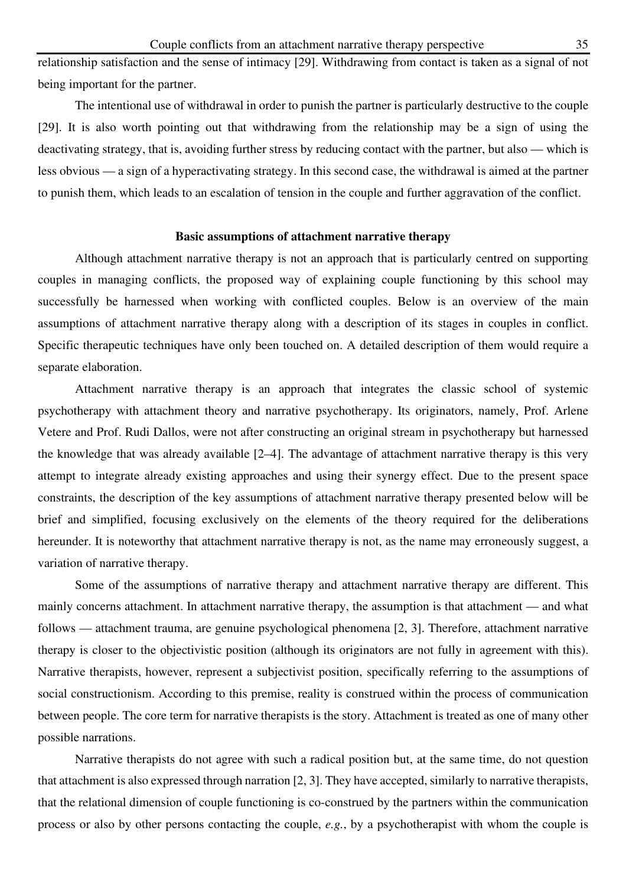relationship satisfaction and the sense of intimacy [29]. Withdrawing from contact is taken as a signal of not being important for the partner.

The intentional use of withdrawal in order to punish the partner is particularly destructive to the couple [29]. It is also worth pointing out that withdrawing from the relationship may be a sign of using the deactivating strategy, that is, avoiding further stress by reducing contact with the partner, but also — which is less obvious — a sign of a hyperactivating strategy. In this second case, the withdrawal is aimed at the partner to punish them, which leads to an escalation of tension in the couple and further aggravation of the conflict.

# **Basic assumptions of attachment narrative therapy**

Although attachment narrative therapy is not an approach that is particularly centred on supporting couples in managing conflicts, the proposed way of explaining couple functioning by this school may successfully be harnessed when working with conflicted couples. Below is an overview of the main assumptions of attachment narrative therapy along with a description of its stages in couples in conflict. Specific therapeutic techniques have only been touched on. A detailed description of them would require a separate elaboration.

Attachment narrative therapy is an approach that integrates the classic school of systemic psychotherapy with attachment theory and narrative psychotherapy. Its originators, namely, Prof. Arlene Vetere and Prof. Rudi Dallos, were not after constructing an original stream in psychotherapy but harnessed the knowledge that was already available [2–4]. The advantage of attachment narrative therapy is this very attempt to integrate already existing approaches and using their synergy effect. Due to the present space constraints, the description of the key assumptions of attachment narrative therapy presented below will be brief and simplified, focusing exclusively on the elements of the theory required for the deliberations hereunder. It is noteworthy that attachment narrative therapy is not, as the name may erroneously suggest, a variation of narrative therapy.

Some of the assumptions of narrative therapy and attachment narrative therapy are different. This mainly concerns attachment. In attachment narrative therapy, the assumption is that attachment — and what follows — attachment trauma, are genuine psychological phenomena [2, 3]. Therefore, attachment narrative therapy is closer to the objectivistic position (although its originators are not fully in agreement with this). Narrative therapists, however, represent a subjectivist position, specifically referring to the assumptions of social constructionism. According to this premise, reality is construed within the process of communication between people. The core term for narrative therapists is the story. Attachment is treated as one of many other possible narrations.

Narrative therapists do not agree with such a radical position but, at the same time, do not question that attachment is also expressed through narration [2, 3]. They have accepted, similarly to narrative therapists, that the relational dimension of couple functioning is co-construed by the partners within the communication process or also by other persons contacting the couple, *e.g.*, by a psychotherapist with whom the couple is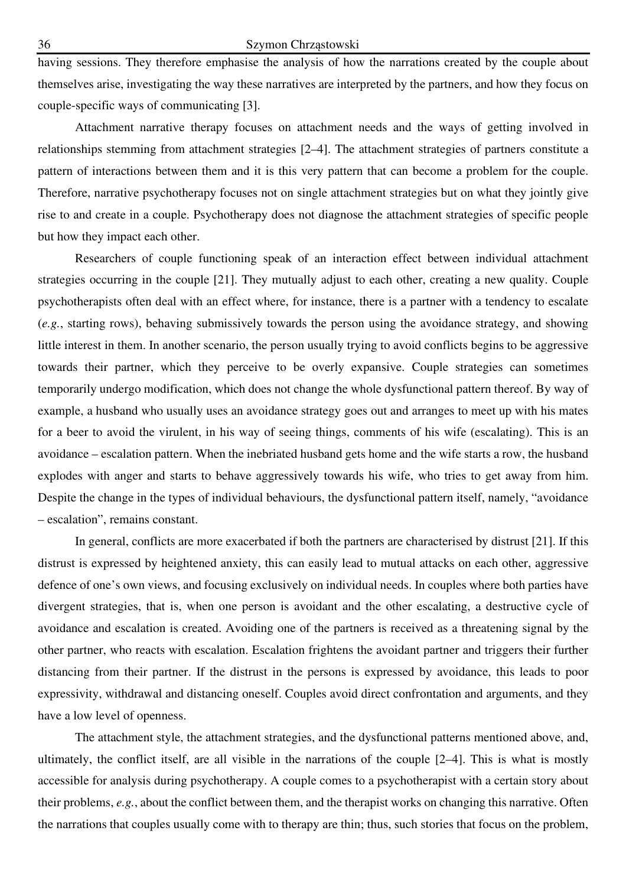having sessions. They therefore emphasise the analysis of how the narrations created by the couple about themselves arise, investigating the way these narratives are interpreted by the partners, and how they focus on couple-specific ways of communicating [3].

Attachment narrative therapy focuses on attachment needs and the ways of getting involved in relationships stemming from attachment strategies [2–4]. The attachment strategies of partners constitute a pattern of interactions between them and it is this very pattern that can become a problem for the couple. Therefore, narrative psychotherapy focuses not on single attachment strategies but on what they jointly give rise to and create in a couple. Psychotherapy does not diagnose the attachment strategies of specific people but how they impact each other.

Researchers of couple functioning speak of an interaction effect between individual attachment strategies occurring in the couple [21]. They mutually adjust to each other, creating a new quality. Couple psychotherapists often deal with an effect where, for instance, there is a partner with a tendency to escalate (*e.g.*, starting rows), behaving submissively towards the person using the avoidance strategy, and showing little interest in them. In another scenario, the person usually trying to avoid conflicts begins to be aggressive towards their partner, which they perceive to be overly expansive. Couple strategies can sometimes temporarily undergo modification, which does not change the whole dysfunctional pattern thereof. By way of example, a husband who usually uses an avoidance strategy goes out and arranges to meet up with his mates for a beer to avoid the virulent, in his way of seeing things, comments of his wife (escalating). This is an avoidance – escalation pattern. When the inebriated husband gets home and the wife starts a row, the husband explodes with anger and starts to behave aggressively towards his wife, who tries to get away from him. Despite the change in the types of individual behaviours, the dysfunctional pattern itself, namely, "avoidance – escalation", remains constant.

In general, conflicts are more exacerbated if both the partners are characterised by distrust [21]. If this distrust is expressed by heightened anxiety, this can easily lead to mutual attacks on each other, aggressive defence of one's own views, and focusing exclusively on individual needs. In couples where both parties have divergent strategies, that is, when one person is avoidant and the other escalating, a destructive cycle of avoidance and escalation is created. Avoiding one of the partners is received as a threatening signal by the other partner, who reacts with escalation. Escalation frightens the avoidant partner and triggers their further distancing from their partner. If the distrust in the persons is expressed by avoidance, this leads to poor expressivity, withdrawal and distancing oneself. Couples avoid direct confrontation and arguments, and they have a low level of openness.

The attachment style, the attachment strategies, and the dysfunctional patterns mentioned above, and, ultimately, the conflict itself, are all visible in the narrations of the couple [2–4]. This is what is mostly accessible for analysis during psychotherapy. A couple comes to a psychotherapist with a certain story about their problems, *e.g.*, about the conflict between them, and the therapist works on changing this narrative. Often the narrations that couples usually come with to therapy are thin; thus, such stories that focus on the problem,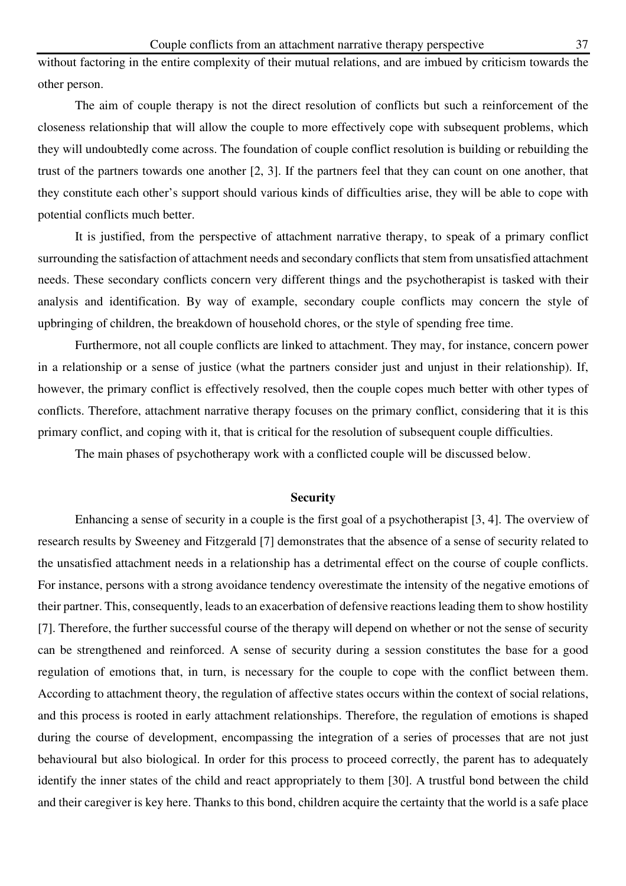without factoring in the entire complexity of their mutual relations, and are imbued by criticism towards the other person.

The aim of couple therapy is not the direct resolution of conflicts but such a reinforcement of the closeness relationship that will allow the couple to more effectively cope with subsequent problems, which they will undoubtedly come across. The foundation of couple conflict resolution is building or rebuilding the trust of the partners towards one another [2, 3]. If the partners feel that they can count on one another, that they constitute each other's support should various kinds of difficulties arise, they will be able to cope with potential conflicts much better.

It is justified, from the perspective of attachment narrative therapy, to speak of a primary conflict surrounding the satisfaction of attachment needs and secondary conflicts that stem from unsatisfied attachment needs. These secondary conflicts concern very different things and the psychotherapist is tasked with their analysis and identification. By way of example, secondary couple conflicts may concern the style of upbringing of children, the breakdown of household chores, or the style of spending free time.

Furthermore, not all couple conflicts are linked to attachment. They may, for instance, concern power in a relationship or a sense of justice (what the partners consider just and unjust in their relationship). If, however, the primary conflict is effectively resolved, then the couple copes much better with other types of conflicts. Therefore, attachment narrative therapy focuses on the primary conflict, considering that it is this primary conflict, and coping with it, that is critical for the resolution of subsequent couple difficulties.

The main phases of psychotherapy work with a conflicted couple will be discussed below.

#### **Security**

Enhancing a sense of security in a couple is the first goal of a psychotherapist [3, 4]. The overview of research results by Sweeney and Fitzgerald [7] demonstrates that the absence of a sense of security related to the unsatisfied attachment needs in a relationship has a detrimental effect on the course of couple conflicts. For instance, persons with a strong avoidance tendency overestimate the intensity of the negative emotions of their partner. This, consequently, leads to an exacerbation of defensive reactions leading them to show hostility [7]. Therefore, the further successful course of the therapy will depend on whether or not the sense of security can be strengthened and reinforced. A sense of security during a session constitutes the base for a good regulation of emotions that, in turn, is necessary for the couple to cope with the conflict between them. According to attachment theory, the regulation of affective states occurs within the context of social relations, and this process is rooted in early attachment relationships. Therefore, the regulation of emotions is shaped during the course of development, encompassing the integration of a series of processes that are not just behavioural but also biological. In order for this process to proceed correctly, the parent has to adequately identify the inner states of the child and react appropriately to them [30]. A trustful bond between the child and their caregiver is key here. Thanks to this bond, children acquire the certainty that the world is a safe place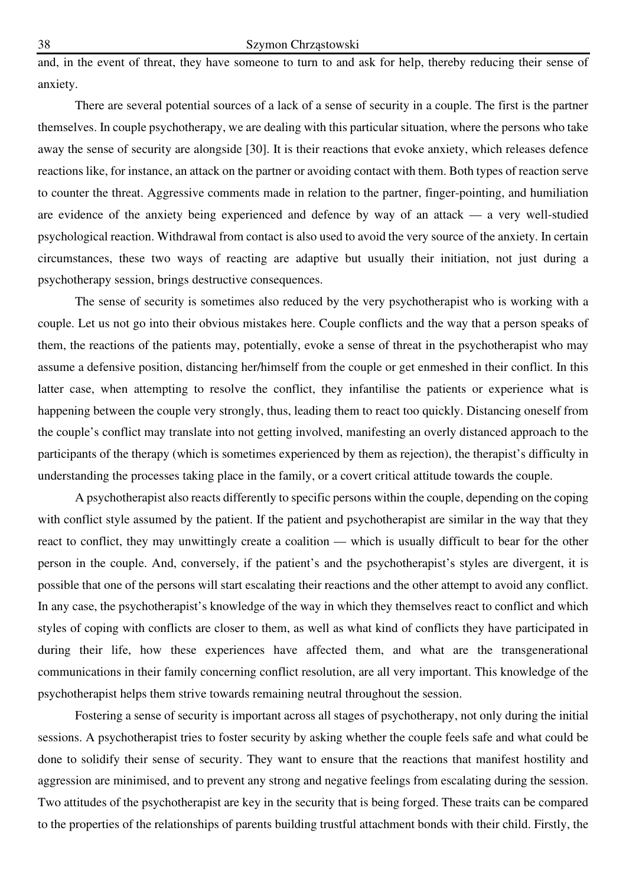and, in the event of threat, they have someone to turn to and ask for help, thereby reducing their sense of anxiety.

There are several potential sources of a lack of a sense of security in a couple. The first is the partner themselves. In couple psychotherapy, we are dealing with this particular situation, where the persons who take away the sense of security are alongside [30]. It is their reactions that evoke anxiety, which releases defence reactions like, for instance, an attack on the partner or avoiding contact with them. Both types of reaction serve to counter the threat. Aggressive comments made in relation to the partner, finger-pointing, and humiliation are evidence of the anxiety being experienced and defence by way of an attack — a very well-studied psychological reaction. Withdrawal from contact is also used to avoid the very source of the anxiety. In certain circumstances, these two ways of reacting are adaptive but usually their initiation, not just during a psychotherapy session, brings destructive consequences.

The sense of security is sometimes also reduced by the very psychotherapist who is working with a couple. Let us not go into their obvious mistakes here. Couple conflicts and the way that a person speaks of them, the reactions of the patients may, potentially, evoke a sense of threat in the psychotherapist who may assume a defensive position, distancing her/himself from the couple or get enmeshed in their conflict. In this latter case, when attempting to resolve the conflict, they infantilise the patients or experience what is happening between the couple very strongly, thus, leading them to react too quickly. Distancing oneself from the couple's conflict may translate into not getting involved, manifesting an overly distanced approach to the participants of the therapy (which is sometimes experienced by them as rejection), the therapist's difficulty in understanding the processes taking place in the family, or a covert critical attitude towards the couple.

A psychotherapist also reacts differently to specific persons within the couple, depending on the coping with conflict style assumed by the patient. If the patient and psychotherapist are similar in the way that they react to conflict, they may unwittingly create a coalition — which is usually difficult to bear for the other person in the couple. And, conversely, if the patient's and the psychotherapist's styles are divergent, it is possible that one of the persons will start escalating their reactions and the other attempt to avoid any conflict. In any case, the psychotherapist's knowledge of the way in which they themselves react to conflict and which styles of coping with conflicts are closer to them, as well as what kind of conflicts they have participated in during their life, how these experiences have affected them, and what are the transgenerational communications in their family concerning conflict resolution, are all very important. This knowledge of the psychotherapist helps them strive towards remaining neutral throughout the session.

Fostering a sense of security is important across all stages of psychotherapy, not only during the initial sessions. A psychotherapist tries to foster security by asking whether the couple feels safe and what could be done to solidify their sense of security. They want to ensure that the reactions that manifest hostility and aggression are minimised, and to prevent any strong and negative feelings from escalating during the session. Two attitudes of the psychotherapist are key in the security that is being forged. These traits can be compared to the properties of the relationships of parents building trustful attachment bonds with their child. Firstly, the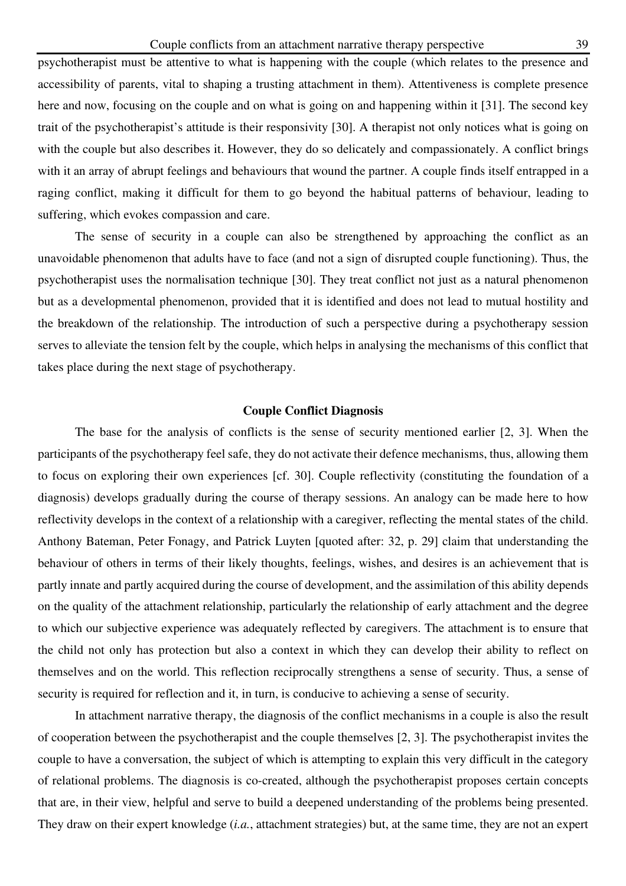psychotherapist must be attentive to what is happening with the couple (which relates to the presence and accessibility of parents, vital to shaping a trusting attachment in them). Attentiveness is complete presence here and now, focusing on the couple and on what is going on and happening within it [31]. The second key trait of the psychotherapist's attitude is their responsivity [30]. A therapist not only notices what is going on with the couple but also describes it. However, they do so delicately and compassionately. A conflict brings with it an array of abrupt feelings and behaviours that wound the partner. A couple finds itself entrapped in a raging conflict, making it difficult for them to go beyond the habitual patterns of behaviour, leading to suffering, which evokes compassion and care.

The sense of security in a couple can also be strengthened by approaching the conflict as an unavoidable phenomenon that adults have to face (and not a sign of disrupted couple functioning). Thus, the psychotherapist uses the normalisation technique [30]. They treat conflict not just as a natural phenomenon but as a developmental phenomenon, provided that it is identified and does not lead to mutual hostility and the breakdown of the relationship. The introduction of such a perspective during a psychotherapy session serves to alleviate the tension felt by the couple, which helps in analysing the mechanisms of this conflict that takes place during the next stage of psychotherapy.

# **Couple Conflict Diagnosis**

The base for the analysis of conflicts is the sense of security mentioned earlier [2, 3]. When the participants of the psychotherapy feel safe, they do not activate their defence mechanisms, thus, allowing them to focus on exploring their own experiences [cf. 30]. Couple reflectivity (constituting the foundation of a diagnosis) develops gradually during the course of therapy sessions. An analogy can be made here to how reflectivity develops in the context of a relationship with a caregiver, reflecting the mental states of the child. Anthony Bateman, Peter Fonagy, and Patrick Luyten [quoted after: 32, p. 29] claim that understanding the behaviour of others in terms of their likely thoughts, feelings, wishes, and desires is an achievement that is partly innate and partly acquired during the course of development, and the assimilation of this ability depends on the quality of the attachment relationship, particularly the relationship of early attachment and the degree to which our subjective experience was adequately reflected by caregivers. The attachment is to ensure that the child not only has protection but also a context in which they can develop their ability to reflect on themselves and on the world. This reflection reciprocally strengthens a sense of security. Thus, a sense of security is required for reflection and it, in turn, is conducive to achieving a sense of security.

In attachment narrative therapy, the diagnosis of the conflict mechanisms in a couple is also the result of cooperation between the psychotherapist and the couple themselves [2, 3]. The psychotherapist invites the couple to have a conversation, the subject of which is attempting to explain this very difficult in the category of relational problems. The diagnosis is co-created, although the psychotherapist proposes certain concepts that are, in their view, helpful and serve to build a deepened understanding of the problems being presented. They draw on their expert knowledge (*i.a.*, attachment strategies) but, at the same time, they are not an expert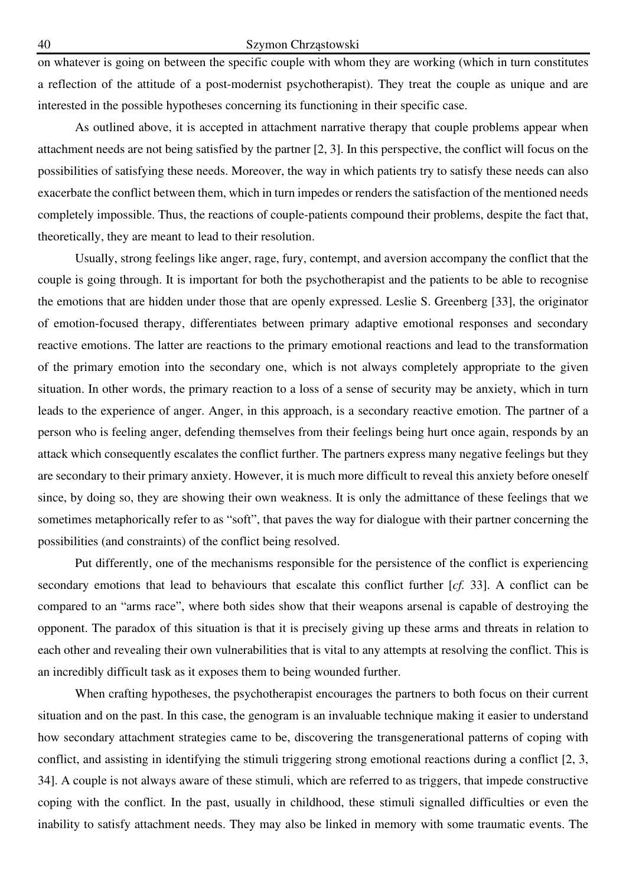on whatever is going on between the specific couple with whom they are working (which in turn constitutes a reflection of the attitude of a post-modernist psychotherapist). They treat the couple as unique and are interested in the possible hypotheses concerning its functioning in their specific case.

As outlined above, it is accepted in attachment narrative therapy that couple problems appear when attachment needs are not being satisfied by the partner [2, 3]. In this perspective, the conflict will focus on the possibilities of satisfying these needs. Moreover, the way in which patients try to satisfy these needs can also exacerbate the conflict between them, which in turn impedes or renders the satisfaction of the mentioned needs completely impossible. Thus, the reactions of couple-patients compound their problems, despite the fact that, theoretically, they are meant to lead to their resolution.

Usually, strong feelings like anger, rage, fury, contempt, and aversion accompany the conflict that the couple is going through. It is important for both the psychotherapist and the patients to be able to recognise the emotions that are hidden under those that are openly expressed. Leslie S. Greenberg [33], the originator of emotion-focused therapy, differentiates between primary adaptive emotional responses and secondary reactive emotions. The latter are reactions to the primary emotional reactions and lead to the transformation of the primary emotion into the secondary one, which is not always completely appropriate to the given situation. In other words, the primary reaction to a loss of a sense of security may be anxiety, which in turn leads to the experience of anger. Anger, in this approach, is a secondary reactive emotion. The partner of a person who is feeling anger, defending themselves from their feelings being hurt once again, responds by an attack which consequently escalates the conflict further. The partners express many negative feelings but they are secondary to their primary anxiety. However, it is much more difficult to reveal this anxiety before oneself since, by doing so, they are showing their own weakness. It is only the admittance of these feelings that we sometimes metaphorically refer to as "soft", that paves the way for dialogue with their partner concerning the possibilities (and constraints) of the conflict being resolved.

Put differently, one of the mechanisms responsible for the persistence of the conflict is experiencing secondary emotions that lead to behaviours that escalate this conflict further [*cf.* 33]. A conflict can be compared to an "arms race", where both sides show that their weapons arsenal is capable of destroying the opponent. The paradox of this situation is that it is precisely giving up these arms and threats in relation to each other and revealing their own vulnerabilities that is vital to any attempts at resolving the conflict. This is an incredibly difficult task as it exposes them to being wounded further.

When crafting hypotheses, the psychotherapist encourages the partners to both focus on their current situation and on the past. In this case, the genogram is an invaluable technique making it easier to understand how secondary attachment strategies came to be, discovering the transgenerational patterns of coping with conflict, and assisting in identifying the stimuli triggering strong emotional reactions during a conflict [2, 3, 34]. A couple is not always aware of these stimuli, which are referred to as triggers, that impede constructive coping with the conflict. In the past, usually in childhood, these stimuli signalled difficulties or even the inability to satisfy attachment needs. They may also be linked in memory with some traumatic events. The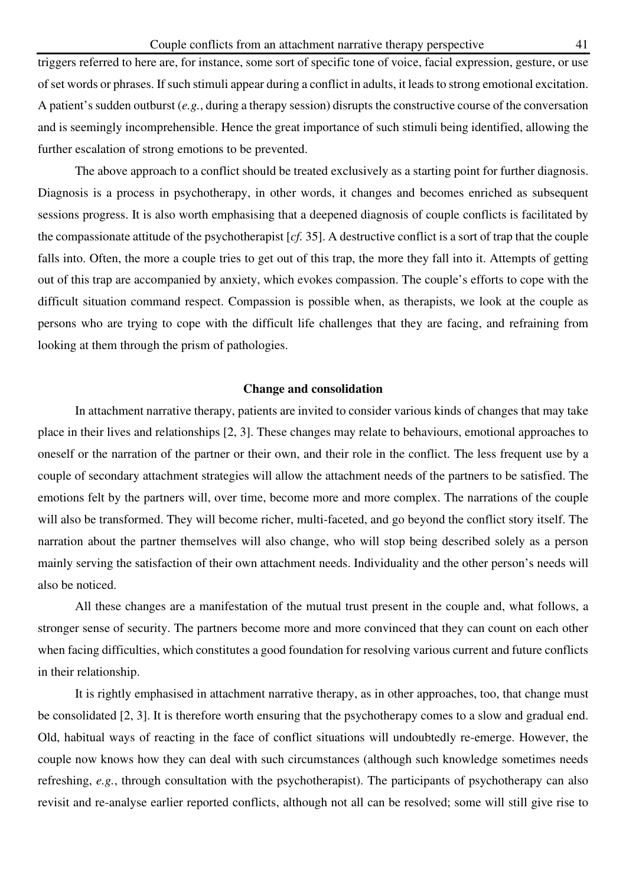triggers referred to here are, for instance, some sort of specific tone of voice, facial expression, gesture, or use of set words or phrases. If such stimuli appear during a conflict in adults, it leads to strong emotional excitation. A patient's sudden outburst (*e.g.*, during a therapy session) disrupts the constructive course of the conversation and is seemingly incomprehensible. Hence the great importance of such stimuli being identified, allowing the further escalation of strong emotions to be prevented.

The above approach to a conflict should be treated exclusively as a starting point for further diagnosis. Diagnosis is a process in psychotherapy, in other words, it changes and becomes enriched as subsequent sessions progress. It is also worth emphasising that a deepened diagnosis of couple conflicts is facilitated by the compassionate attitude of the psychotherapist [*cf.* 35]. A destructive conflict is a sort of trap that the couple falls into. Often, the more a couple tries to get out of this trap, the more they fall into it. Attempts of getting out of this trap are accompanied by anxiety, which evokes compassion. The couple's efforts to cope with the difficult situation command respect. Compassion is possible when, as therapists, we look at the couple as persons who are trying to cope with the difficult life challenges that they are facing, and refraining from looking at them through the prism of pathologies.

# **Change and consolidation**

In attachment narrative therapy, patients are invited to consider various kinds of changes that may take place in their lives and relationships [2, 3]. These changes may relate to behaviours, emotional approaches to oneself or the narration of the partner or their own, and their role in the conflict. The less frequent use by a couple of secondary attachment strategies will allow the attachment needs of the partners to be satisfied. The emotions felt by the partners will, over time, become more and more complex. The narrations of the couple will also be transformed. They will become richer, multi-faceted, and go beyond the conflict story itself. The narration about the partner themselves will also change, who will stop being described solely as a person mainly serving the satisfaction of their own attachment needs. Individuality and the other person's needs will also be noticed.

All these changes are a manifestation of the mutual trust present in the couple and, what follows, a stronger sense of security. The partners become more and more convinced that they can count on each other when facing difficulties, which constitutes a good foundation for resolving various current and future conflicts in their relationship.

It is rightly emphasised in attachment narrative therapy, as in other approaches, too, that change must be consolidated [2, 3]. It is therefore worth ensuring that the psychotherapy comes to a slow and gradual end. Old, habitual ways of reacting in the face of conflict situations will undoubtedly re-emerge. However, the couple now knows how they can deal with such circumstances (although such knowledge sometimes needs refreshing, *e.g.*, through consultation with the psychotherapist). The participants of psychotherapy can also revisit and re-analyse earlier reported conflicts, although not all can be resolved; some will still give rise to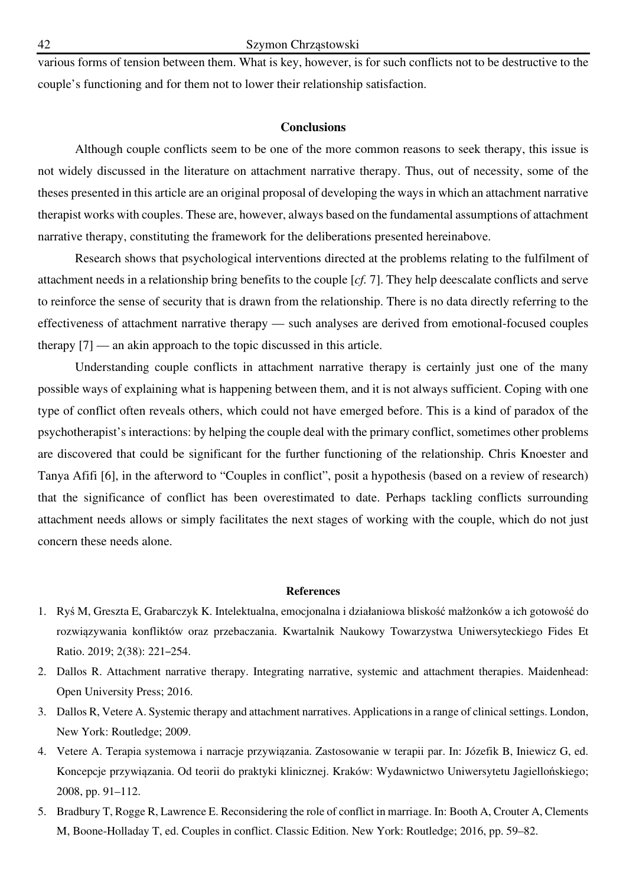various forms of tension between them. What is key, however, is for such conflicts not to be destructive to the couple's functioning and for them not to lower their relationship satisfaction.

### **Conclusions**

Although couple conflicts seem to be one of the more common reasons to seek therapy, this issue is not widely discussed in the literature on attachment narrative therapy. Thus, out of necessity, some of the theses presented in this article are an original proposal of developing the ways in which an attachment narrative therapist works with couples. These are, however, always based on the fundamental assumptions of attachment narrative therapy, constituting the framework for the deliberations presented hereinabove.

Research shows that psychological interventions directed at the problems relating to the fulfilment of attachment needs in a relationship bring benefits to the couple [*cf.* 7]. They help deescalate conflicts and serve to reinforce the sense of security that is drawn from the relationship. There is no data directly referring to the effectiveness of attachment narrative therapy — such analyses are derived from emotional-focused couples therapy [7] — an akin approach to the topic discussed in this article.

Understanding couple conflicts in attachment narrative therapy is certainly just one of the many possible ways of explaining what is happening between them, and it is not always sufficient. Coping with one type of conflict often reveals others, which could not have emerged before. This is a kind of paradox of the psychotherapist's interactions: by helping the couple deal with the primary conflict, sometimes other problems are discovered that could be significant for the further functioning of the relationship. Chris Knoester and Tanya Afifi [6], in the afterword to "Couples in conflict", posit a hypothesis (based on a review of research) that the significance of conflict has been overestimated to date. Perhaps tackling conflicts surrounding attachment needs allows or simply facilitates the next stages of working with the couple, which do not just concern these needs alone.

#### **References**

- 1. Ryś M, Greszta E, Grabarczyk K. Intelektualna, emocjonalna i działaniowa bliskość małżonków a ich gotowość do rozwiązywania konfliktów oraz przebaczania. Kwartalnik Naukowy Towarzystwa Uniwersyteckiego Fides Et Ratio. 2019; 2(38): 221–254.
- 2. Dallos R. Attachment narrative therapy. Integrating narrative, systemic and attachment therapies. Maidenhead: Open University Press; 2016.
- 3. Dallos R, Vetere A. Systemic therapy and attachment narratives. Applications in a range of clinical settings. London, New York: Routledge; 2009.
- 4. Vetere A. Terapia systemowa i narracje przywiązania. Zastosowanie w terapii par. In: Józefik B, Iniewicz G, ed. Koncepcje przywiązania. Od teorii do praktyki klinicznej. Kraków: Wydawnictwo Uniwersytetu Jagiellońskiego; 2008, pp. 91–112.
- 5. Bradbury T, Rogge R, Lawrence E. Reconsidering the role of conflict in marriage. In: Booth A, Crouter A, Clements M, Boone-Holladay T, ed. Couples in conflict. Classic Edition. New York: Routledge; 2016, pp. 59–82.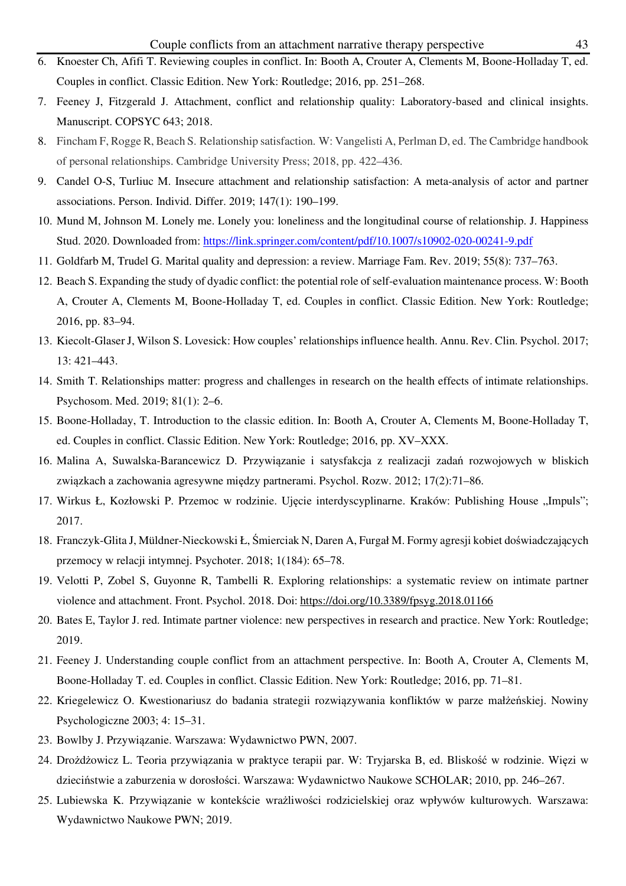- 6. Knoester Ch, Afifi T. Reviewing couples in conflict. In: Booth A, Crouter A, Clements M, Boone-Holladay T, ed. Couples in conflict. Classic Edition. New York: Routledge; 2016, pp. 251–268.
- 7. Feeney J, Fitzgerald J. Attachment, conflict and relationship quality: Laboratory-based and clinical insights. Manuscript. COPSYC 643; 2018.
- 8. Fincham F, Rogge R, Beach S. Relationship satisfaction. W: Vangelisti A, Perlman D, ed. The Cambridge handbook of personal relationships. Cambridge University Press; 2018, pp. 422–436.
- 9. Candel O-S, Turliuc M. Insecure attachment and relationship satisfaction: A meta-analysis of actor and partner associations. Person. Individ. Differ. 2019; 147(1): 190–199.
- 10. Mund M, Johnson M. Lonely me. Lonely you: loneliness and the longitudinal course of relationship. J. Happiness Stud. 2020. Downloaded from: https://link.springer.com/content/pdf/10.1007/s10902-020-00241-9.pdf
- 11. Goldfarb M, Trudel G. Marital quality and depression: a review. Marriage Fam. Rev. 2019; 55(8): 737–763.
- 12. Beach S. Expanding the study of dyadic conflict: the potential role of self-evaluation maintenance process. W: Booth A, Crouter A, Clements M, Boone-Holladay T, ed. Couples in conflict. Classic Edition. New York: Routledge; 2016, pp. 83–94.
- 13. Kiecolt-Glaser J, Wilson S. Lovesick: How couples' relationships influence health. Annu. Rev. Clin. Psychol. 2017; 13: 421–443.
- 14. Smith T. Relationships matter: progress and challenges in research on the health effects of intimate relationships. Psychosom. Med. 2019; 81(1): 2–6.
- 15. Boone-Holladay, T. Introduction to the classic edition. In: Booth A, Crouter A, Clements M, Boone-Holladay T, ed. Couples in conflict. Classic Edition. New York: Routledge; 2016, pp. XV–XXX.
- 16. Malina A, Suwalska-Barancewicz D. Przywiązanie i satysfakcja z realizacji zadań rozwojowych w bliskich związkach a zachowania agresywne między partnerami. Psychol. Rozw. 2012; 17(2):71–86.
- 17. Wirkus Ł, Kozłowski P. Przemoc w rodzinie. Ujęcie interdyscyplinarne. Kraków: Publishing House "Impuls"; 2017.
- 18. Franczyk-Glita J, Müldner-Nieckowski Ł, Śmierciak N, Daren A, Furgał M. Formy agresji kobiet doświadczających przemocy w relacji intymnej. Psychoter. 2018; 1(184): 65–78.
- 19. Velotti P, Zobel S, Guyonne R, Tambelli R. Exploring relationships: a systematic review on intimate partner violence and attachment. Front. Psychol. 2018. Doi: https://doi.org/10.3389/fpsyg.2018.01166
- 20. Bates E, Taylor J. red. Intimate partner violence: new perspectives in research and practice. New York: Routledge; 2019.
- 21. Feeney J. Understanding couple conflict from an attachment perspective. In: Booth A, Crouter A, Clements M, Boone-Holladay T. ed. Couples in conflict. Classic Edition. New York: Routledge; 2016, pp. 71–81.
- 22. Kriegelewicz O. Kwestionariusz do badania strategii rozwiązywania konfliktów w parze małżeńskiej. Nowiny Psychologiczne 2003; 4: 15–31.
- 23. Bowlby J. Przywiązanie. Warszawa: Wydawnictwo PWN, 2007.
- 24. Drożdżowicz L. Teoria przywiązania w praktyce terapii par. W: Tryjarska B, ed. Bliskość w rodzinie. Więzi w dzieciństwie a zaburzenia w dorosłości. Warszawa: Wydawnictwo Naukowe SCHOLAR; 2010, pp. 246–267.
- 25. Lubiewska K. Przywiązanie w kontekście wrażliwości rodzicielskiej oraz wpływów kulturowych. Warszawa: Wydawnictwo Naukowe PWN; 2019.